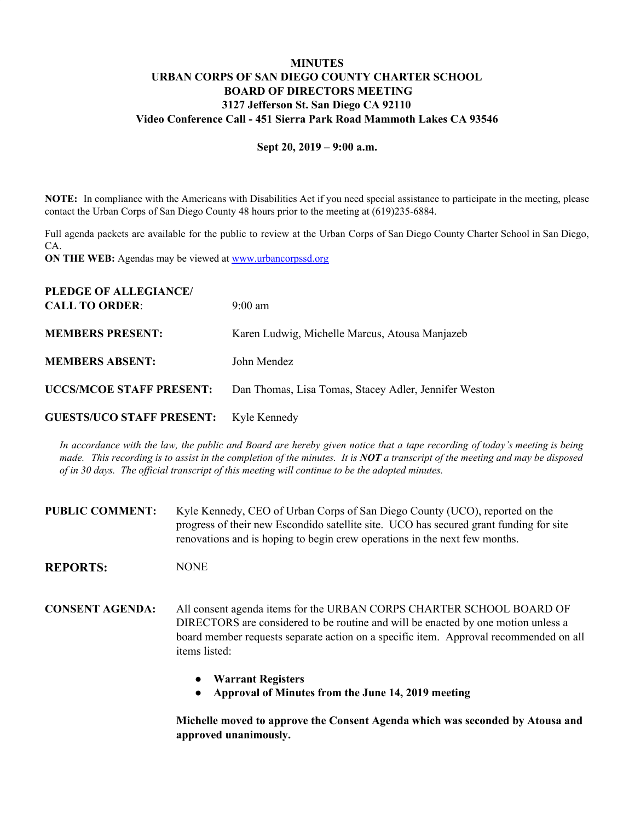## **MINUTES URBAN CORPS OF SAN DIEGO COUNTY CHARTER SCHOOL BOARD OF DIRECTORS MEETING 3127 Jefferson St. San Diego CA 92110 Video Conference Call - 451 Sierra Park Road Mammoth Lakes CA 93546**

## **Sept 20, 2019 – 9:00 a.m.**

**NOTE:** In compliance with the Americans with Disabilities Act if you need special assistance to participate in the meeting, please contact the Urban Corps of San Diego County 48 hours prior to the meeting at (619)235-6884.

Full agenda packets are available for the public to review at the Urban Corps of San Diego County Charter School in San Diego, CA.

**ON THE WEB:** Agendas may be viewed at [www.urbancorpssd.org](http://www.urbancorpssd.org/)

| PLEDGE OF ALLEGIANCE/<br><b>CALL TO ORDER:</b> | $9:00 \text{ am}$                                     |
|------------------------------------------------|-------------------------------------------------------|
| <b>MEMBERS PRESENT:</b>                        | Karen Ludwig, Michelle Marcus, Atousa Manjazeb        |
| <b>MEMBERS ABSENT:</b>                         | John Mendez                                           |
| <b>UCCS/MCOE STAFF PRESENT:</b>                | Dan Thomas, Lisa Tomas, Stacey Adler, Jennifer Weston |
| <b>GUESTS/UCO STAFF PRESENT:</b>               | Kyle Kennedy                                          |

In accordance with the law, the public and Board are hereby given notice that a tape recording of today's meeting is being made. This recording is to assist in the completion of the minutes. It is **NOT** a transcript of the meeting and may be disposed *of in 30 days. The of icial transcript of this meeting will continue to be the adopted minutes.*

**PUBLIC COMMENT:** Kyle Kennedy, CEO of Urban Corps of San Diego County (UCO), reported on the progress of their new Escondido satellite site. UCO has secured grant funding for site renovations and is hoping to begin crew operations in the next few months.

**REPORTS:** NONE

- **CONSENT AGENDA:** All consent agenda items for the URBAN CORPS CHARTER SCHOOL BOARD OF DIRECTORS are considered to be routine and will be enacted by one motion unless a board member requests separate action on a specific item. Approval recommended on all items listed:
	- **● Warrant Registers**
	- **● Approval of Minutes from the June 14, 2019 meeting**

**Michelle moved to approve the Consent Agenda which was seconded by Atousa and approved unanimously.**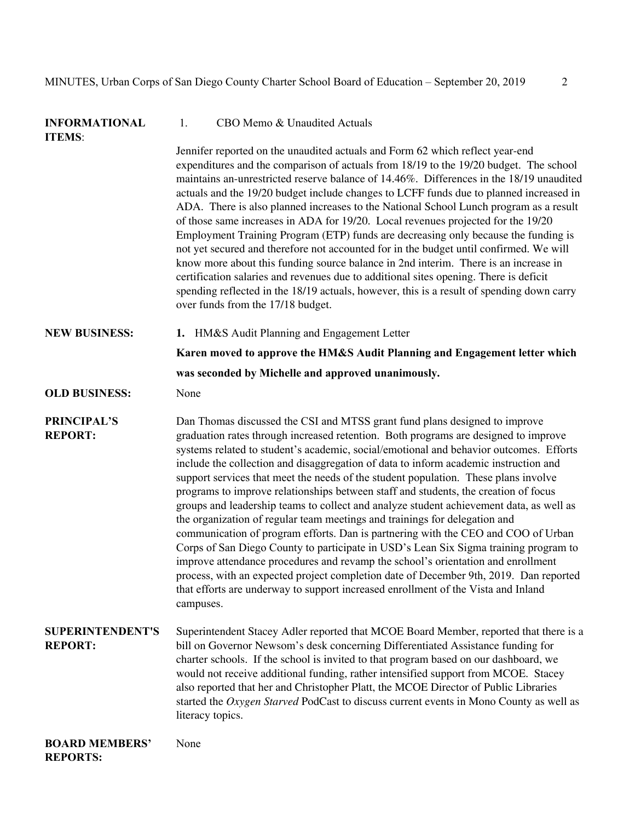| <b>INFORMATIONAL</b><br><b>ITEMS:</b>     | 1.<br>CBO Memo & Unaudited Actuals                                                                                                                                                                                                                                                                                                                                                                                                                                                                                                                                                                                                                                                                                                                                                                                                                                                                                                                                                                                                                                                                                                                                     |
|-------------------------------------------|------------------------------------------------------------------------------------------------------------------------------------------------------------------------------------------------------------------------------------------------------------------------------------------------------------------------------------------------------------------------------------------------------------------------------------------------------------------------------------------------------------------------------------------------------------------------------------------------------------------------------------------------------------------------------------------------------------------------------------------------------------------------------------------------------------------------------------------------------------------------------------------------------------------------------------------------------------------------------------------------------------------------------------------------------------------------------------------------------------------------------------------------------------------------|
|                                           | Jennifer reported on the unaudited actuals and Form 62 which reflect year-end<br>expenditures and the comparison of actuals from 18/19 to the 19/20 budget. The school<br>maintains an-unrestricted reserve balance of 14.46%. Differences in the 18/19 unaudited<br>actuals and the 19/20 budget include changes to LCFF funds due to planned increased in<br>ADA. There is also planned increases to the National School Lunch program as a result<br>of those same increases in ADA for 19/20. Local revenues projected for the 19/20<br>Employment Training Program (ETP) funds are decreasing only because the funding is<br>not yet secured and therefore not accounted for in the budget until confirmed. We will<br>know more about this funding source balance in 2nd interim. There is an increase in<br>certification salaries and revenues due to additional sites opening. There is deficit<br>spending reflected in the 18/19 actuals, however, this is a result of spending down carry<br>over funds from the 17/18 budget.                                                                                                                             |
| <b>NEW BUSINESS:</b>                      | 1. HM&S Audit Planning and Engagement Letter                                                                                                                                                                                                                                                                                                                                                                                                                                                                                                                                                                                                                                                                                                                                                                                                                                                                                                                                                                                                                                                                                                                           |
|                                           | Karen moved to approve the HM&S Audit Planning and Engagement letter which                                                                                                                                                                                                                                                                                                                                                                                                                                                                                                                                                                                                                                                                                                                                                                                                                                                                                                                                                                                                                                                                                             |
|                                           | was seconded by Michelle and approved unanimously.                                                                                                                                                                                                                                                                                                                                                                                                                                                                                                                                                                                                                                                                                                                                                                                                                                                                                                                                                                                                                                                                                                                     |
| <b>OLD BUSINESS:</b>                      | None                                                                                                                                                                                                                                                                                                                                                                                                                                                                                                                                                                                                                                                                                                                                                                                                                                                                                                                                                                                                                                                                                                                                                                   |
| <b>PRINCIPAL'S</b><br><b>REPORT:</b>      | Dan Thomas discussed the CSI and MTSS grant fund plans designed to improve<br>graduation rates through increased retention. Both programs are designed to improve<br>systems related to student's academic, social/emotional and behavior outcomes. Efforts<br>include the collection and disaggregation of data to inform academic instruction and<br>support services that meet the needs of the student population. These plans involve<br>programs to improve relationships between staff and students, the creation of focus<br>groups and leadership teams to collect and analyze student achievement data, as well as<br>the organization of regular team meetings and trainings for delegation and<br>communication of program efforts. Dan is partnering with the CEO and COO of Urban<br>Corps of San Diego County to participate in USD's Lean Six Sigma training program to<br>improve attendance procedures and revamp the school's orientation and enrollment<br>process, with an expected project completion date of December 9th, 2019. Dan reported<br>that efforts are underway to support increased enrollment of the Vista and Inland<br>campuses. |
| <b>SUPERINTENDENT'S</b><br><b>REPORT:</b> | Superintendent Stacey Adler reported that MCOE Board Member, reported that there is a<br>bill on Governor Newsom's desk concerning Differentiated Assistance funding for<br>charter schools. If the school is invited to that program based on our dashboard, we<br>would not receive additional funding, rather intensified support from MCOE. Stacey<br>also reported that her and Christopher Platt, the MCOE Director of Public Libraries<br>started the Oxygen Starved PodCast to discuss current events in Mono County as well as<br>literacy topics.                                                                                                                                                                                                                                                                                                                                                                                                                                                                                                                                                                                                            |
| <b>BOARD MEMBERS'</b><br><b>REPORTS:</b>  | None                                                                                                                                                                                                                                                                                                                                                                                                                                                                                                                                                                                                                                                                                                                                                                                                                                                                                                                                                                                                                                                                                                                                                                   |